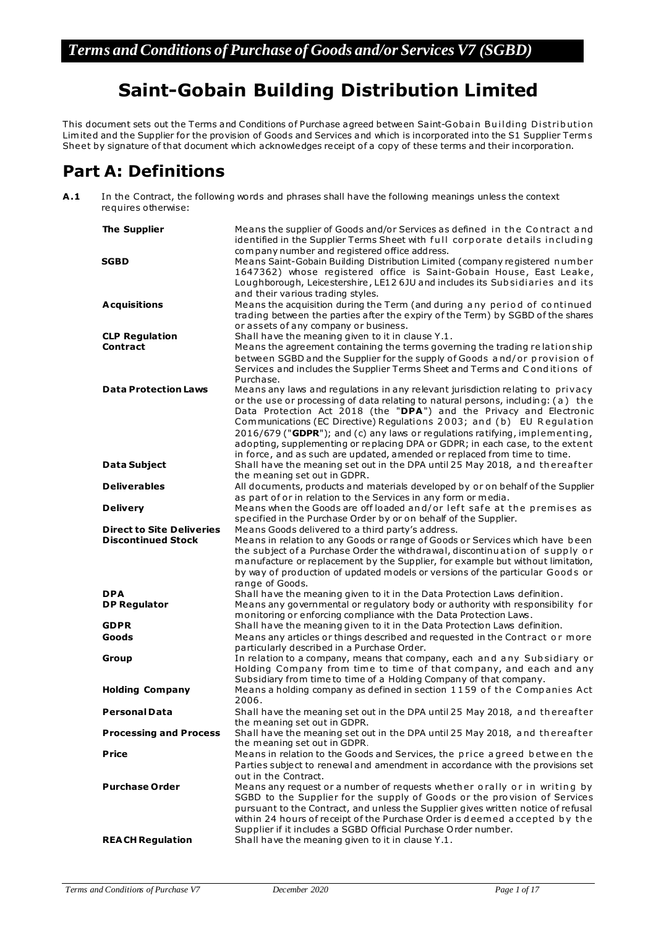# **Saint-Gobain Building Distribution Limited**

This document sets out the Terms and Conditions of Purchase agreed between Saint-Gobain Building Distribution Limited and the Supplier for the provision of Goods and Services and which is incorporated into the S1 Supplier Term s Sheet by signature of that document which acknowledges receipt of a copy of these terms and their incorporation.

## **Part A: Definitions**

**A .1** In the Contract, the following words and phrases shall have the following meanings unless the context requires otherwise:

| <b>The Supplier</b>              | Means the supplier of Goods and/or Services as defined in the Contract and<br>identified in the Supplier Terms Sheet with full corporate details including<br>company number and registered office address. |
|----------------------------------|-------------------------------------------------------------------------------------------------------------------------------------------------------------------------------------------------------------|
| <b>SGBD</b>                      | Means Saint-Gobain Building Distribution Limited (company registered number<br>1647362) whose registered office is Saint-Gobain House, East Leake,                                                          |
|                                  | Loughborough, Leicestershire, LE12 6JU and includes its Subsidiaries and its                                                                                                                                |
|                                  | and their various trading styles.                                                                                                                                                                           |
| <b>Acquisitions</b>              | Means the acquisition during the Term (and during any period of continued                                                                                                                                   |
|                                  | trading between the parties after the expiry of the Term) by SGBD of the shares<br>or assets of any company or business.                                                                                    |
| <b>CLP Regulation</b>            | Shall have the meaning given to it in clause Y.1.                                                                                                                                                           |
| <b>Contract</b>                  | Means the agreement containing the terms governing the trading relation ship                                                                                                                                |
|                                  | between SGBD and the Supplier for the supply of Goods and/or provision of                                                                                                                                   |
|                                  | Services and includes the Supplier Terms Sheet and Terms and Conditions of                                                                                                                                  |
| <b>Data Protection Laws</b>      | Purchase.<br>Means any laws and regulations in any relevant jurisdiction relating to privacy                                                                                                                |
|                                  | or the use or processing of data relating to natural persons, including: (a) the                                                                                                                            |
|                                  | Data Protection Act 2018 (the "DPA") and the Privacy and Electronic                                                                                                                                         |
|                                  | Communications (EC Directive) Regulations 2003; and (b) EU Regulation                                                                                                                                       |
|                                  | 2016/679 ("GDPR"); and (c) any laws or regulations ratifying, implementing,                                                                                                                                 |
|                                  | adopting, supplementing or replacing DPA or GDPR; in each case, to the extent                                                                                                                               |
| <b>Data Subject</b>              | in force, and as such are updated, amended or replaced from time to time.<br>Shall have the meaning set out in the DPA until 25 May 2018, and thereafter                                                    |
|                                  | the meaning set out in GDPR.                                                                                                                                                                                |
| <b>Deliverables</b>              | All documents, products and materials developed by or on behalf of the Supplier                                                                                                                             |
|                                  | as part of or in relation to the Services in any form or media.                                                                                                                                             |
| <b>Delivery</b>                  | Means when the Goods are off loaded and/or left safe at the premises as                                                                                                                                     |
| <b>Direct to Site Deliveries</b> | specified in the Purchase Order by or on behalf of the Supplier.<br>Means Goods delivered to a third party's address.                                                                                       |
| <b>Discontinued Stock</b>        | Means in relation to any Goods or range of Goods or Services which have been                                                                                                                                |
|                                  | the subject of a Purchase Order the withdrawal, discontinuation of supply or                                                                                                                                |
|                                  | manufacture or replacement by the Supplier, for example but without limitation,                                                                                                                             |
|                                  | by way of production of updated models or versions of the particular Goods or                                                                                                                               |
| <b>DPA</b>                       | range of Goods.<br>Shall have the meaning given to it in the Data Protection Laws definition.                                                                                                               |
| <b>DP Regulator</b>              | Means any governmental or regulatory body or authority with responsibility for                                                                                                                              |
|                                  | monitoring or enforcing compliance with the Data Protection Laws.                                                                                                                                           |
| <b>GDPR</b>                      | Shall have the meaning given to it in the Data Protection Laws definition.                                                                                                                                  |
| Goods                            | Means any articles or things described and requested in the Contract or more                                                                                                                                |
| Group                            | particularly described in a Purchase Order.<br>In relation to a company, means that company, each and any Subsidiary or                                                                                     |
|                                  | Holding Company from time to time of that company, and each and any                                                                                                                                         |
|                                  | Subsidiary from time to time of a Holding Company of that company.                                                                                                                                          |
| <b>Holding Company</b>           | Means a holding company as defined in section 1159 of the Companies Act                                                                                                                                     |
|                                  | 2006.                                                                                                                                                                                                       |
| <b>Personal Data</b>             | Shall have the meaning set out in the DPA until 25 May 2018, and thereafter<br>the meaning set out in GDPR.                                                                                                 |
| <b>Processing and Process</b>    | Shall have the meaning set out in the DPA until 25 May 2018, and thereafter                                                                                                                                 |
|                                  | the meaning set out in GDPR.                                                                                                                                                                                |
| <b>Price</b>                     | Means in relation to the Goods and Services, the price agreed between the                                                                                                                                   |
|                                  | Parties subject to renewal and amendment in accordance with the provisions set                                                                                                                              |
| <b>Purchase Order</b>            | out in the Contract.                                                                                                                                                                                        |
|                                  | Means any request or a number of requests whether orally or in writing by<br>SGBD to the Supplier for the supply of Goods or the provision of Services                                                      |
|                                  | pursuant to the Contract, and unless the Supplier gives written notice of refusal                                                                                                                           |
|                                  | within 24 hours of receipt of the Purchase Order is deemed accepted by the                                                                                                                                  |
|                                  | Supplier if it includes a SGBD Official Purchase Order number.                                                                                                                                              |
| <b>REACH Regulation</b>          | Shall have the meaning given to it in clause Y.1.                                                                                                                                                           |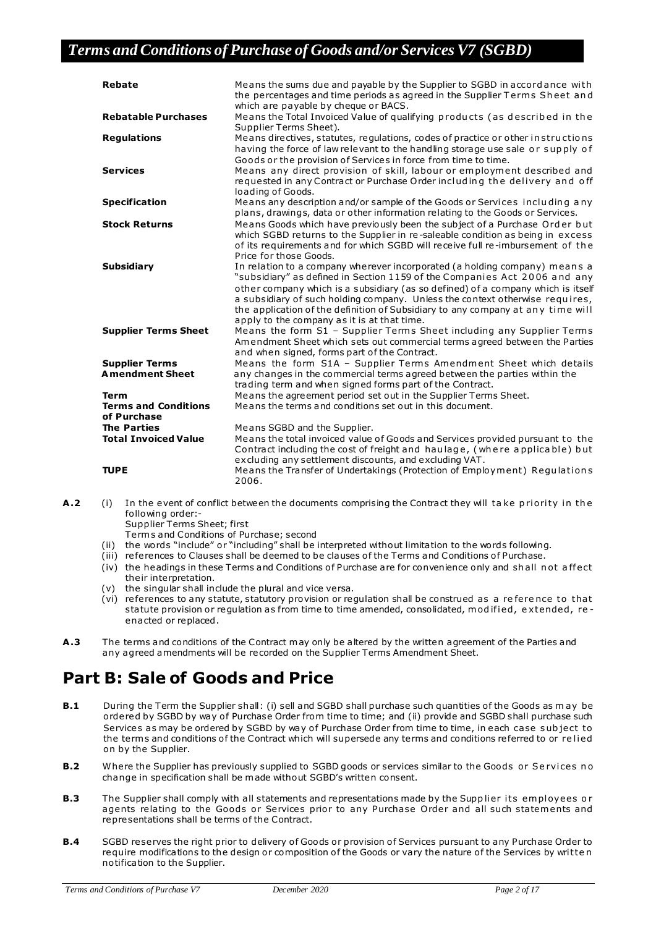| <b>Rebate</b>                                             | Means the sums due and payable by the Supplier to SGBD in accord ance with<br>the percentages and time periods as agreed in the Supplier Terms Sheet and<br>which are payable by cheque or BACS.                                                                                                                                                                                                                                                              |
|-----------------------------------------------------------|---------------------------------------------------------------------------------------------------------------------------------------------------------------------------------------------------------------------------------------------------------------------------------------------------------------------------------------------------------------------------------------------------------------------------------------------------------------|
| <b>Rebatable Purchases</b>                                | Means the Total Invoiced Value of qualifying products (as described in the<br>Supplier Terms Sheet).                                                                                                                                                                                                                                                                                                                                                          |
| <b>Regulations</b>                                        | Means directives, statutes, regulations, codes of practice or other in structions<br>having the force of law relevant to the handling storage use sale or supply of<br>Goods or the provision of Services in force from time to time.                                                                                                                                                                                                                         |
| <b>Services</b>                                           | Means any direct provision of skill, labour or employment described and<br>requested in any Contract or Purchase Order including the delivery and off<br>loading of Goods.                                                                                                                                                                                                                                                                                    |
| <b>Specification</b>                                      | Means any description and/or sample of the Goods or Services including any<br>plans, drawings, data or other information relating to the Goods or Services.                                                                                                                                                                                                                                                                                                   |
| <b>Stock Returns</b>                                      | Means Goods which have previously been the subject of a Purchase Order but<br>which SGBD returns to the Supplier in re-saleable condition as being in excess<br>of its requirements and for which SGBD will receive full re-imbursement of the<br>Price for those Goods.                                                                                                                                                                                      |
| <b>Subsidiary</b>                                         | In relation to a company wherever incorporated (a holding company) means a<br>"subsidiary" as defined in Section 1159 of the Companies Act 2006 and any<br>other company which is a subsidiary (as so defined) of a company which is itself<br>a subsidiary of such holding company. Unless the context otherwise requires,<br>the application of the definition of Subsidiary to any company at any time will<br>apply to the company as it is at that time. |
| <b>Supplier Terms Sheet</b>                               | Means the form S1 - Supplier Terms Sheet including any Supplier Terms<br>Amendment Sheet which sets out commercial terms agreed between the Parties<br>and when signed, forms part of the Contract.                                                                                                                                                                                                                                                           |
| <b>Supplier Terms</b><br><b>Amendment Sheet</b>           | Means the form S1A - Supplier Terms Amendment Sheet which details<br>any changes in the commercial terms agreed between the parties within the<br>trading term and when signed forms part of the Contract.                                                                                                                                                                                                                                                    |
| <b>Term</b><br><b>Terms and Conditions</b><br>of Purchase | Means the agreement period set out in the Supplier Terms Sheet.<br>Means the terms and conditions set out in this document.                                                                                                                                                                                                                                                                                                                                   |
| <b>The Parties</b><br><b>Total Invoiced Value</b>         | Means SGBD and the Supplier.<br>Means the total invoiced value of Goods and Services provided pursuant to the<br>Contract including the cost of freight and haulage, (where applicable) but<br>excluding any settlement discounts, and excluding VAT.                                                                                                                                                                                                         |
| <b>TUPE</b>                                               | Means the Transfer of Undertakings (Protection of Employment) Regulations<br>2006.                                                                                                                                                                                                                                                                                                                                                                            |

**A.2** (i) In the event of conflict between the documents comprising the Contract they will take priority in the following order:- Supplier Terms Sheet; first

Term s and Conditions of Purchase; second

- (ii) the words "include" or "including" shall be interpreted without limitation to the words following.
- (iii) references to Clauses shall be deemed to be clauses of the Terms and Conditions of Purchase.
- (iv) the headings in these Terms and Conditions of Purchase are for convenience only and shall not affect their interpretation.
- (v) the singular shall include the plural and vice versa.
- (vi) re ferences to any statute, statutory provision or regulation shall be construed as a re fere nce to that statute provision or regulation as from time to time amended, consolidated, mod if ied, extended, reenacted or replaced.
- **A .3** The terms and conditions of the Contract m ay only be altered by the written agreement of the Parties and any agreed amendments will be recorded on the Supplier Terms Amendment Sheet.

## **Part B: Sale of Goods and Price**

- **B.1** During the Term the Supplier shall: (i) sell and SGBD shall purchase such quantities of the Goods as may be ordered by SGBD by way of Purchase Order from time to time; and (ii) provide and SGBD shall purchase such Services as may be ordered by SGBD by way of Purchase Order from time to time, in each case subject to the terms and conditions of the Contract which will supersede any terms and conditions referred to or relied on by the Supplier.
- **B.2** Where the Supplier has previously supplied to SGBD goods or services similar to the Goods or Se rvices no change in specification shall be m ade without SGBD's written consent.
- **B.3** The Supplier shall comply with all statements and representations made by the Supplier its employees or agents relating to the Goods or Services prior to any Purchase Order and all such statements and representations shall be terms of the Contract.
- **B.4** SGBD reserves the right prior to delivery of Goods or provision of Services pursuant to any Purchase Order to require modifications to the design or composition of the Goods or vary the nature of the Services by written notification to the Supplier.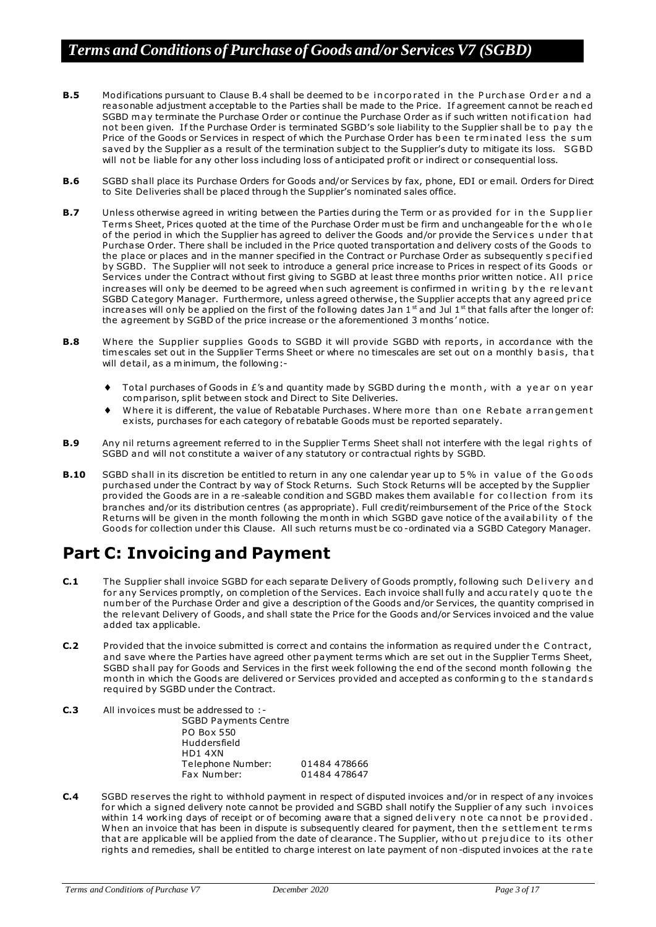- **B.5** Modifications pursuant to Clause B.4 shall be deemed to be incorporated in the Purch ase Order and a reasonable adjustment acceptable to the Parties shall be made to the Price. If agreement cannot be reach ed SGBD may terminate the Purchase Order or continue the Purchase Order as if such written notification had not been given. If the Purchase Order is terminated SGBD's sole liability to the Supplier shall be to pay the Price of the Goods or Services in respect of which the Purchase Order has been terminated less the sum saved by the Supplier as a result of the termination subject to the Supplier's duty to mitigate its loss. SGBD will not be liable for any other loss including loss of anticipated profit or indirect or consequential loss.
- **B.6** SGBD shall place its Purchase Orders for Goods and/or Services by fax, phone, EDI or email. Orders for Direct to Site Deliveries shall be placed through the Supplier's nominated sales office.
- **B.7** Unless otherwise agreed in writing between the Parties during the Term or as provided for in the Supplier Terms Sheet, Prices quoted at the time of the Purchase Order must be firm and unchangeable for the who le of the period in which the Supplier has agreed to deliver the Goods and/or provide the Services under that Purchase Order. There shall be included in the Price quoted transportation and delivery costs of the Goods to the place or places and in the manner specified in the Contract or Purchase Order as subsequently specified by SGBD. The Supplier will not seek to introduce a general price increase to Prices in respect o f its Goods or Services under the Contract without first giving to SGBD at least three months prior written notice. All price increases will only be deemed to be agreed when such agreement is confirmed in writing by the relevant SGBD Category Manager. Furthermore, unless agreed otherwise, the Supplier accepts that any agreed price increases will only be applied on the first of the following dates Jan  $1<sup>st</sup>$  and Jul  $1<sup>st</sup>$  that falls after the longer of: the agreement by SGBD of the price increase or the aforementioned 3 months' notice.
- **B.8** Where the Supplier supplies Goods to SGBD it will provide SGBD with reports, in accordance with the timescales set out in the Supplier Terms Sheet or where no timescales are set out on a monthly basis, that will detail, as a minimum, the following:-
	- Total purchases of Goods in £'s and quantity made by SGBD during the month, with a year on year com parison, split between stock and Direct to Site Deliveries.
	- Where it is different, the value of Rebatable Purchases. Where more than one Rebate a rrangement exists, purchases for each category of rebatable Goods must be reported separately.
- **B.9** Any nil returns agreement referred to in the Supplier Terms Sheet shall not interfere with the legal rights of SGBD and will not constitute a waiver of any statutory or contractual rights by SGBD.
- **B.10** SGBD shall in its discretion be entitled to return in any one calendar year up to 5% in value of the Goods purchased under the Contract by way of Stock Returns. Such Stock Returns will be accepted by the Supplier provided the Goods are in a re-saleable condition and SGBD makes them available for collection from its branches and/or its distribution centres (as appropriate). Full credit/reimbursement of the Price of the Stock Returns will be given in the month following the month in which SGBD gave notice of the availability of the Goods for collection under this Clause. All such re turns must be co -ordinated via a SGBD Category Manager.

# **Part C: Invoicing and Payment**

- **C.1** The Supplier shall invoice SGBD for each separate Delivery of Goods promptly, following such Delivery and for any Services promptly, on completion of the Services. Each invoice shall fully and accu rately quo te the num ber of the Purchase Order and give a description of the Goods and/or Services, the quantity comprised in the relevant Delivery of Goods, and shall state the Price for the Goods and/or Services invoiced and the value added tax applicable.
- **C.2** Provided that the invoice submitted is correct and contains the information as required under the Contract, and save where the Parties have agreed other payment terms which are set out in the Supplier Terms Sheet, SGBD shall pay for Goods and Services in the first week following the end of the second month following the m onth in which the Goods are delivered or Services provided and accepted as conforming to the standards required by SGBD under the Contract.
- **C.3** All invoices must be addressed to :- SGBD Payments Centre PO Box 550 Huddersfield HD1 4XN Telephone Number: 01484 478666 Fax Num ber: 01484 478647
- **C.4** SGBD reserves the right to withhold payment in respect of disputed invoices and/or in respect of any invoices for which a signed delivery note cannot be provided and SGBD shall notify the Supplier of any such invoices within 14 working days of receipt or of becoming aware that a signed delivery note cannot be provided. When an invoice that has been in dispute is subsequently cleared for payment, then the settlement terms that are applicable will be applied from the date of clearance. The Supplier, witho ut prejudice to its other rights and remedies, shall be entitled to charge interest on late payment o f non -disputed invoices at the ra te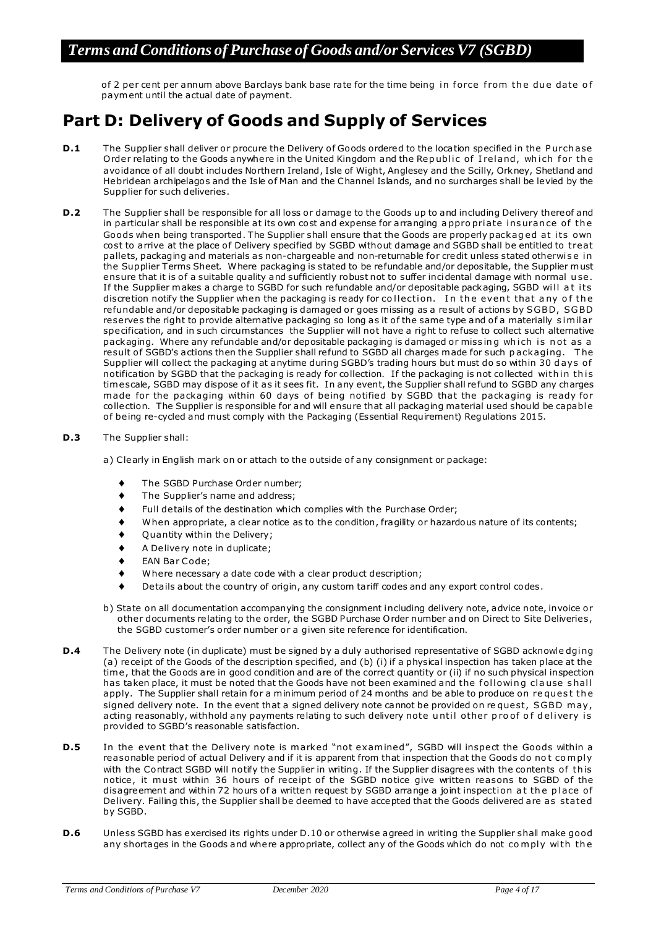of 2 per cent per annum above Barclays bank base rate for the time being in force from the due date of paym ent until the actual date of payment.

# **Part D: Delivery of Goods and Supply of Services**

- **D.1** The Supplier shall deliver or procure the Delivery of Goods ordered to the location specified in the Purch ase Order relating to the Goods anywhere in the United Kingdom and the Republic of Ireland, which for the avoidance of all doubt includes Northern Ireland, Isle of Wight, Anglesey and the Scilly, Orkney, Shetland and Hebridean archipelagos and the Isle of Man and the Channel Islands, and no surcharges shall be levied by the Supplier for such deliveries.
- **D.2** The Supplier shall be responsible for all loss or damage to the Goods up to and including Delivery thereof and in particular shall be responsible at its own cost and expense for arranging appropriate ins uran ce of the Goods when being transported. The Supplier shall ensure that the Goods are properly packaged at its own cost to arrive at the place of Delivery specified by SGBD without damage and SGBD shall be entitled to treat pallets, packaging and materials as non-chargeable and non-returnable for credit unless stated otherwise in the Supplier Terms Sheet. Where packaging is stated to be refundable and/or depositable, the Supplier must ensure that it is of a suitable quality and sufficiently robust not to suffer incidental damage with normal use. If the Supplier makes a charge to SGBD for such refundable and/or depositable packaging, SGBD will at its discretion notify the Supplier when the packaging is ready for collection. In the event that any of the re fundable and/or depositable packaging is damaged or goes missing as a result of actions by SGBD, SGBD reserves the right to provide alternative packaging so long as it of the same type and of a materially similar specification, and in such circumstances the Supplier will not have a right to re fuse to collect such alternative packaging. Where any refundable and/or depositable packaging is damaged or missing which is not as a result of SGBD's actions then the Supplier shall refund to SGBD all charges made for such packaging. The Supplier will collect the packaging at anytime during SGBD's trading hours but must do so within 30 days of notification by SGBD that the packaging is ready for collection. If the packaging is not collected within this tim escale, SGBD may dispose of it as it sees fit. In any event, the Supplier shall refund to SGBD any charges made for the packaging within 60 days of being notified by SGBD that the packaging is ready for collection. The Supplier is responsible for and will ensure that all packaging material used should be capable of being re-cycled and must comply with the Packaging (Essential Requirement) Regulations 2015.
- **D.3** The Supplier shall:

a) Clearly in English mark on or attach to the outside of any consignment or package:

- The SGBD Purchase Order number;
- The Supplier's name and address;
- Full de tails of the destination which complies with the Purchase Order;
- When appropriate, a clear notice as to the condition, fragility or hazardous nature of its contents;
- Quantity within the Delivery;
- A Delivery note in duplicate;
- EAN Bar Code;
- Where necessary a date code with a clear product description;
- De tails about the country of origin, any custom tariff codes and any export control codes.
- b) State on all documentation accompanying the consignment including delivery note, advice note, invoice or other documents relating to the order, the SGBD Purchase O rder number and on Direct to Site Deliveries, the SGBD customer's order number or a given site re ference for identification.
- **D.4** The Delivery note (in duplicate) must be signed by a duly authorised representative of SGBD acknowle dging (a) receipt of the Goods of the description specified, and (b) (i) if a physical inspection has taken place at the time, that the Goods are in good condition and are of the correct quantity or (ii) if no such physical inspection has taken place, it must be noted that the Goods have not been examined and the following clause shall apply. The Supplier shall retain for a minimum period of 24 months and be able to produce on request the signed delivery note. In the event that a signed delivery note cannot be provided on request, SGBD may, acting reasonably, withhold any payments relating to such delivery note until other proof of delivery is provided to SGBD's reasonable satisfaction.
- **D.5** In the event that the Delivery note is marked "not examined", SGBD will inspect the Goods within a reasonable period of actual Delivery and if it is apparent from that inspection that the Goods do not comply with the Contract SGBD will notify the Supplier in writing. If the Supplier disagrees with the contents of this notice, it must within 36 hours of receipt of the SGBD notice give written reasons to SGBD of the disagreement and within 72 hours of a written request by SGBD arrange a joint inspection at the place of Delivery. Failing this, the Supplier shall be deemed to have accepted that the Goods delivered are as stated by SGBD.
- **D.6** Unless SGBD has exercised its rights under D.10 or otherwise agreed in writing the Supplier shall make good any shortages in the Goods and where appropriate, collect any of the Goods which do not comply with the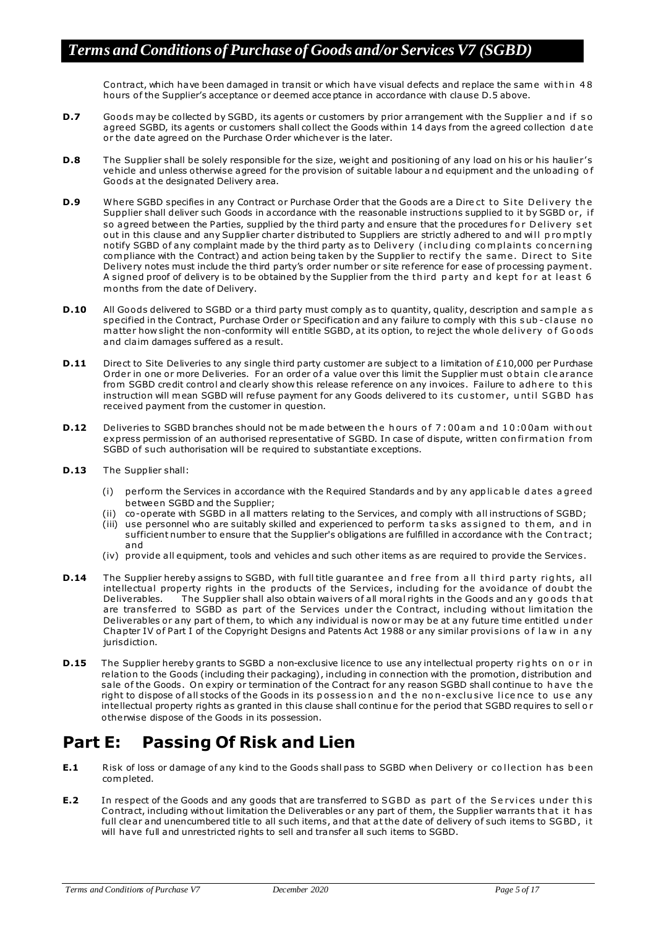Contract, which have been damaged in transit or which have visual defects and replace the same within 48 hours of the Supplier's acceptance or deemed acceptance in accordance with clause D.5 above.

- **D.7** Goods may be collected by SGBD, its agents or customers by prior arrangement with the Supplier and if so agreed SGBD, its agents or customers shall collect the Goods within 14 days from the agreed collection d ate or the date agreed on the Purchase O rder whichever is the later.
- **D.8** The Supplier shall be solely responsible for the size, weight and positioning of any load on his or his haulier's vehicle and unless otherwise agreed for the provision of suitable labour a nd equipment and the unloadi ng o f Goods at the designated Delivery area.
- **D.9** Where SGBD specifies in any Contract or Purchase Order that the Goods are a Direct to Site Delivery the Supplier shall deliver such Goods in accordance with the reasonable instructions supplied to it by SGBD or, i f so agreed between the Parties, supplied by the third party and ensure that the procedures for Delivery set out in this clause and any Supplier charter distributed to Suppliers are strictly adhered to and will promptly notify SGBD of any complaint made by the third party as to Delivery (including complaints concerning com pliance with the Contract) and action being taken by the Supplier to rectify the same. Direct to Site Delivery notes must include the third party's order number or site reference for ease of processing payment. A signed proof of delivery is to be obtained by the Supplier from the third party and kept for at least 6 m onths from the date of Delivery.
- **D.10** All Goods delivered to SGBD or a third party must comply as to quantity, quality, description and sample as specified in the Contract, Purchase Order or Specification and any failure to comply with this sub-clause no m atter how slight the non-conformity will entitle SGBD, at its option, to reject the whole delivery of Goods and claim damages suffered as a result.
- **D.11** Direct to Site Deliveries to any single third party customer are subject to a limitation of £10,000 per Purchase Order in one or more Deliveries. For an order of a value over this limit the Supplier must obtain clearance from SGBD credit control and clearly show this release reference on any invoices. Failure to adhere to this instruction will mean SGBD will refuse payment for any Goods delivered to its customer, until SGBD has received payment from the customer in question.
- **D.12** Deliveries to SGBD branches should not be made between the hours of 7:00am and 10:00am without express permission of an authorised representative of SGBD. In case of dispute, written confirmation from SGBD of such authorisation will be required to substantiate exceptions.
- **D.13** The Supplier shall:
	- (i) perform the Services in accordance with the Required Standards and by any app licable dates a greed be tween SGBD and the Supplier;
	- (ii) co-operate with SGBD in all matters relating to the Services, and comply with all instructions o f SGBD;
	- (iii) use personnel who are suitably skilled and experienced to perform tasks assigned to them, and in sufficient number to ensure that the Supplier's obligations are fulfilled in accordance with the Con tract; and
	- (iv) provide all equipment, tools and vehicles and such other items as are required to provide the Services.
- **D.14** The Supplier hereby assigns to SGBD, with full title guarantee and free from all third party rights, all intellectual property rights in the products of the Services, including for the avoidance of doubt the Deliverables. The Supplier shall also obtain waivers of all moral rights in the Goods and any goods that are transferred to SGBD as part of the Services under the Contract, including without limitation the Deliverables or any part of them, to which any individual is now or may be at any future time entitled under Chapter IV of Part I of the Copyright Designs and Patents Act 1988 or any similar provisions of law in a ny jurisdiction.
- **D.15** The Supplier hereby grants to SGBD a non-exclusive licence to use any intellectual property rights on or in relation to the Goods (including their packaging), including in connection with the promotion, distribution and sale of the Goods. On expiry or termination of the Contract for any reason SGBD shall continue to have the right to dispose of all stocks of the Goods in its possession and the non-exclusive licence to use any intellectual property rights as granted in this clause shall continue for the period that SGBD requires to sell o r otherwise dispose of the Goods in its possession.

# **Part E: Passing Of Risk and Lien**

- **E.1** Risk of loss or damage of any kind to the Goods shall pass to SGBD when Delivery or collection has been com pleted.
- **E.2** In respect of the Goods and any goods that are transferred to SGBD as part of the Services under this Contract, including without limitation the Deliverables or any part of them, the Supplier warrants that it has full clear and unencumbered title to all such items, and that at the date of delivery of such items to SGBD, it will have full and unrestricted rights to sell and transfer all such items to SGBD.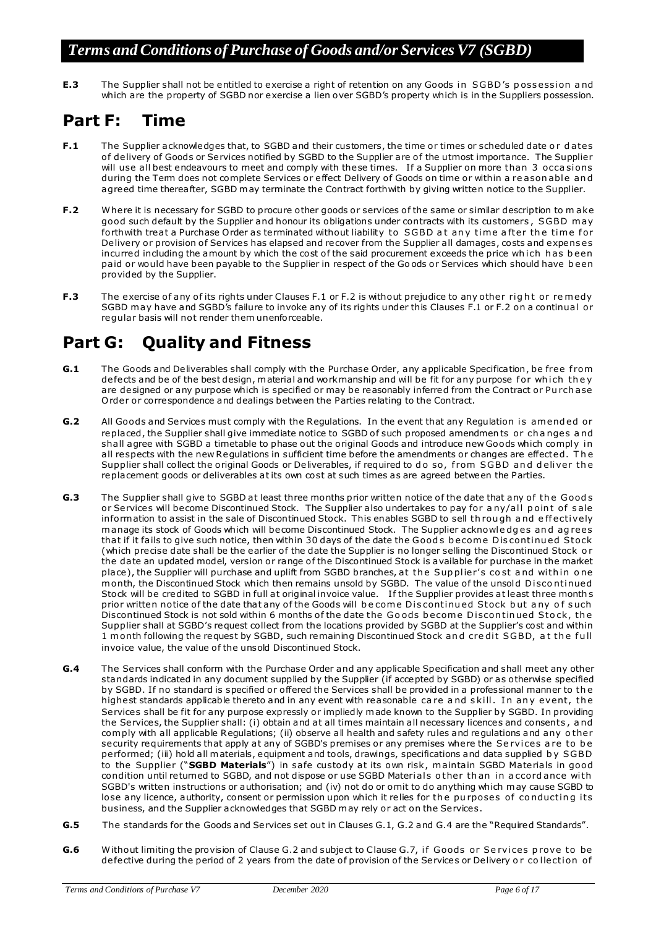**E.3** The Supplier shall not be entitled to exercise a right of retention on any Goods in SGBD's possession and which are the property of SGBD nor exercise a lien over SGBD's property which is in the Suppliers possession.

## **Part F: Time**

- **F.1** The Supplier acknowledges that, to SGBD and their customers, the time or times or scheduled date or dates of delivery of Goods or Services notified by SGBD to the Supplier are of the utmost importance. The Supplier will use all best endeavours to meet and comply with these times. If a Supplier on more than 3 occasions during the Term does not complete Services or effect Delivery of Goods on time or within a reasonable and agreed time therea fter, SGBD m ay terminate the Contract forthwith by giving written notice to the Supplier.
- **F.2** Where it is necessary for SGBD to procure other goods or services of the same or similar description to make good such default by the Supplier and honour its obligations under contracts with its customers , SGBD m ay forthwith treat a Purchase Order as terminated without liability to SGBD at any time after the time for Delivery or provision of Services has elapsed and recover from the Supplier all damages, costs and expens es incurred including the amount by which the cost of the said procurement exceeds the price which has been paid or would have been payable to the Supplier in respect of the Go ods or Services which should have been provided by the Supplier.
- **F.3** The exercise of any of its rights under Clauses F.1 or F.2 is without prejudice to any other right or remedy SGBD may have and SGBD's failure to invoke any of its rights under this Clauses F.1 or F.2 on a continual or regular basis will not render them unenforceable.

# **Part G: Quality and Fitness**

- **G.1** The Goods and Deliverables shall comply with the Purchase Order, any applicable Specification, be free from defects and be of the best design, material and workmanship and will be fit for any purpose for which they are designed or any purpose which is specified or may be reasonably inferred from the Contract or Pu rch ase O rder or correspondence and dealings between the Parties relating to the Contract.
- **G.2** All Goods and Services must comply with the Regulations. In the event that any Regulation is amended or replaced, the Supplier shall give immediate notice to SGBD of such proposed amendments or changes and shall agree with SGBD a timetable to phase out the original Goods and introduce new Goods which comply in all respects with the new Regulations in sufficient time before the amendments or changes are effected. T h e Supplier shall collect the original Goods or Deliverables, if required to do so, from SGBD and deliver the replacement goods or deliverables at its own cost at such times as are agreed between the Parties.
- **G.3** The Supplier shall give to SGBD at least three months prior written notice of the date that any of the Goods or Services will become Discontinued Stock. The Supplier also undertakes to pay for any/all point of sale inform ation to assist in the sale of Discontinued Stock. This enables SGBD to sell through and effectively manage its stock of Goods which will become Discontinued Stock. The Supplier acknowledges and agrees that if it fails to give such notice, then within 30 days of the date the Goods become Discontinued Stock (which precise date shall be the earlier of the date the Supplier is no longer selling the Discontinued Stock or the date an updated model, version or range of the Discontinued Stock is available for purchase in the market place), the Supplier will purchase and uplift from SGBD branches, at the Supplier's cost and within one month, the Discontinued Stock which then remains unsold by SGBD. The value of the unsold Discontinued Stock will be credited to SGBD in full at original invoice value. If the Supplier provides at least three month s prior written notice of the date that any of the Goods will become Discontinued Stock but any of such Discontinued Stock is not sold within 6 months of the date the Goods become Discontinued Stock, the Supplier shall at SGBD's request collect from the locations provided by SGBD at the Supplier's cost and within 1 month following the request by SGBD, such remaining Discontinued Stock and credit SGBD, at the full invoice value, the value of the unsold Discontinued Stock.
- **G.4** The Services shall conform with the Purchase Order and any applicable Specification and shall meet any other standards indicated in any document supplied by the Supplier (if accepted by SGBD) or as otherwise specified by SGBD. If no standard is specified or offered the Services shall be provided in a professional manner to the highest standards applicable thereto and in any event with reasonable care and skill. In any event, the Services shall be fit for any purpose expressly or impliedly m ade known to the Supplier by SGBD. In providing the Services, the Supplier shall: (i) obtain and at all times maintain all necessary licences and consents, and com ply with all applicable Regulations; (ii) observe all health and safety rules and regulations and any o ther security requirements that apply at any of SGBD's premises or any premises where the Se rvices a re to be performed; (iii) hold all m aterials, equipment and tools, drawings, specifications and data supplied b y SGBD to the Supplier ("**SGBD Materials**") in sa fe custody at its own risk , m aintain SGBD Materials in good condition until returned to SGBD, and not dispose or use SGBD Materials other than in accordance with SGBD's written instructions or authorisation; and (iv) not do or omit to do anything which m ay cause SGBD to lose any licence, authority, consent or permission upon which it relies for the purposes of conducting its business, and the Supplier acknowledges that SGBD m ay rely or act on the Services.
- **G.5** The standards for the Goods and Services set out in Clauses G.1, G.2 and G.4 are the "Required Standards".
- **G.6** Without limiting the provision of Clause G.2 and subject to Clause G.7, if Goods or Services prove to be defective during the period of 2 years from the date of provision of the Services or Delivery or collection of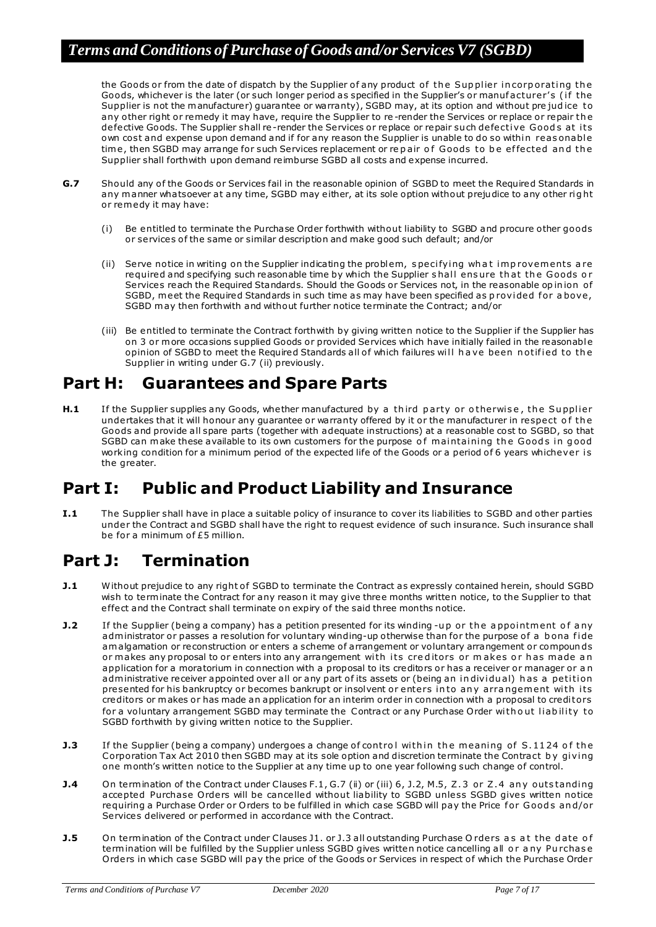the Goods or from the date of dispatch by the Supplier of any product of the Supplier in corporating the Goods, whichever is the later (or such longer period as specified in the Supplier's or manufacturer's (if the Supplier is not the manufacturer) guarantee or warranty), SGBD may, at its option and without pre judice to any other right or remedy it may have, require the Supplier to re -render the Services or replace or repair th e defective Goods. The Supplier shall re-render the Services or replace or repair such defective Goods at its own cost and expense upon demand and if for any reason the Supplier is unable to do so within reas onable time, then SGBD may arrange for such Services replacement or repair of Goods to be effected and the Supplier shall forthwith upon demand reimburse SGBD all costs and expense incurred.

- **G.7** Should any of the Goods or Services fail in the reasonable opinion of SGBD to meet the Required Standards in any manner whatsoever at any time, SGBD may either, at its sole option without prejudice to any other right or rem edy it may have:
	- (i) Be entitled to terminate the Purchase Order forthwith without liability to SGBD and procure other goods or services o f the same or similar description and make good such default; and/or
	- (ii) Serve notice in writing on the Supplier indicating the problem, specifying what improvements are required and specifying such reasonable time by which the Supplier shall ensure that the Goods or Services reach the Required Standards. Should the Goods or Services not, in the reasonable op in ion o f SGBD, meet the Required Standards in such time as may have been specified as provided for a bove, SGBD m ay then forthwith and without further notice terminate the Contract; and/or
	- (iii) Be entitled to terminate the Contract forthwith by giving written notice to the Supplier if the Supplier has on 3 or more occasions supplied Goods or provided Services which have initially failed in the reasonable opinion of SGBD to meet the Required Standards all of which failures will have been notified to the Supplier in writing under G.7 (ii) previously.

## **Part H: Guarantees and Spare Parts**

**H.1** If the Supplier supplies any Goods, whe ther manufactured by a third party or otherwise, the Supplier undertakes that it will honour any guarantee or warranty offered by it or the manufacturer in respect o f th e Goods and provide all spare parts (together with adequate instructions) at a reasonable cost to SGBD, so that SGBD can make these available to its own customers for the purpose of maintaining the Goods in good working condition for a minimum period of the expected life of the Goods or a period of 6 years whichever is the greater.

## **Part I: Public and Product Liability and Insurance**

**I.1** The Supplier shall have in place a suitable policy of insurance to cover its liabilities to SGBD and other parties under the Contract and SGBD shall have the right to request evidence of such insurance. Such insurance shall be for a minimum of  $£5$  million.

# **Part J: Termination**

- **J.1** Without prejudice to any right of SGBD to terminate the Contract as expressly contained herein, should SGBD wish to terminate the Contract for any reason it may give three months written notice, to the Supplier to that effect and the Contract shall terminate on expiry of the said three months notice.
- **J.2** If the Supplier (being a company) has a petition presented for its winding -up or the appointment of any administrator or passes a resolution for voluntary winding-up otherwise than for the purpose of a bona fide am algamation or reconstruction or enters a scheme of arrangement or voluntary arrangement or compounds or makes any proposal to or enters into any arrangement with its creditors or makes or has made an application for a moratorium in connection with a proposal to its creditors or has a receiver or manager or a n administrative receiver appointed over all or any part of its assets or (being an individual) has a petition presented for his bankruptcy or becomes bankrupt or insolvent or enters into any arrangement with its creditors or m akes or has made an application for an interim order in connection with a proposal to credi tors for a voluntary arrangement SGBD may terminate the Contract or any Purchase Order with out liability to SGBD forthwith by giving written notice to the Supplier.
- **J.3** If the Supplier (being a company) undergoes a change of control within the meaning of S.1124 of the Corporation Tax Act 2010 then SGBD may at its sole option and discretion terminate the Contract by giving one month's written notice to the Supplier at any time up to one year following such change of control.
- **J.4** On termination of the Contract under Clauses F.1, G.7 (ii) or (iii) 6, J.2, M.5, Z.3 or Z.4 any outstanding accepted Purchase Orders will be cancelled without liability to SGBD unless SGBD gives written notice requiring a Purchase Order or Orders to be fulfilled in which case SGBD will pay the Price for Goods and/or Services delivered or performed in accordance with the Contract.
- **J.5** On termination of the Contract under Clauses J1. or J.3 all outstanding Purchase Orders as at the date of termination will be fulfilled by the Supplier unless SGBD gives written notice cancelling all or any Purchase Orders in which case SGBD will pay the price of the Goods or Services in respect of which the Purchase Order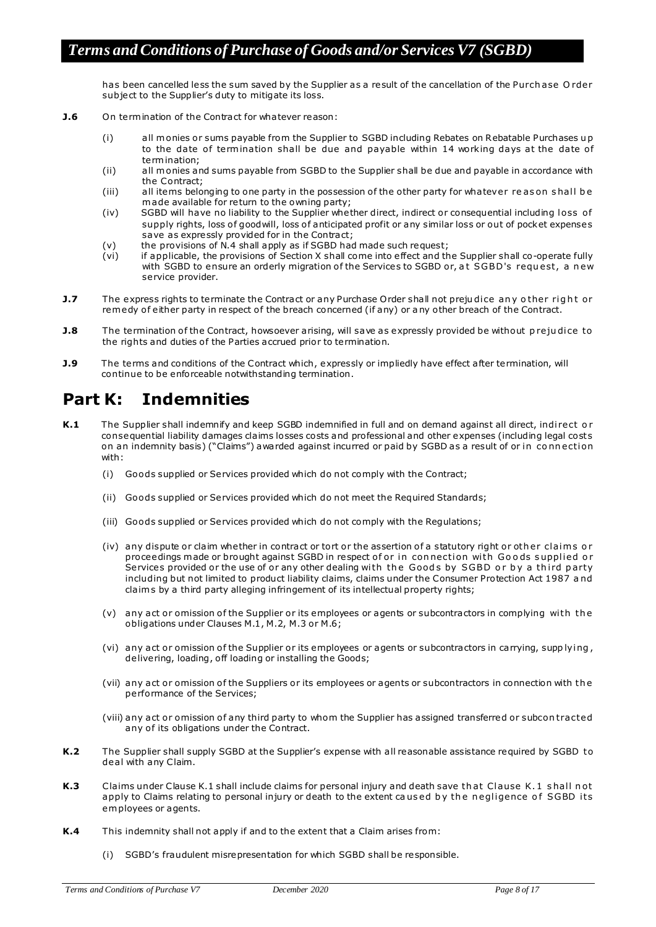has been cancelled less the sum saved by the Supplier as a result of the cancellation of the Purch ase O rder subject to the Supplier's duty to mitigate its loss.

- **J.6** On termination of the Contract for whatever reason:
	- (i) all m onies or sums payable from the Supplier to SGBD including Rebates on Rebatable Purchases u p to the date of termination shall be due and payable within 14 working days at the date of termination;
	- (ii) all m onies and sums payable from SGBD to the Supplier shall be due and payable in accordance with the Contract;
	- (iii) all items belonging to one party in the possession of the other party for whatever reas on shall be made available for return to the owning party;
	- (iv) SGBD will have no liability to the Supplier whe ther direct, indirect or consequential including loss of supply rights, loss of goodwill, loss of anticipated profit or any similar loss or out of pocket expenses save as expressly provided for in the Contract;
	- (v) the provisions of N.4 shall apply as if SGBD had made such request;
	- (vi) if applicable, the provisions of Section X shall come into e ffect and the Supplier shall co-operate fully with SGBD to ensure an orderly migration of the Services to SGBD or, at SGBD's request, a new service provider.
- **J.7** The express rights to terminate the Contract or any Purchase Order shall not prejudice any other right or rem edy of either party in respect of the breach concerned (if any) or a ny other breach of the Contract.
- **J.8** The termination of the Contract, howsoever arising, will save as expressly provided be without prejudice to the rights and duties of the Parties accrued prior to termination.
- **J.9** The terms and conditions of the Contract which, expressly or impliedly have effect after termination, will continue to be enforceable notwithstanding termination.

## **Part K: Indemnities**

- K.1 The Supplier shall indemnify and keep SGBD indemnified in full and on demand against all direct, indi rect or consequential liability damages claims losses costs and professional and other expenses (including legal costs on an indemnity basis) ("Claims") awarded against incurred or paid by SGBD as a result of or in connection with:
	- (i) Goods supplied or Services provided which do not comply with the Contract;
	- (ii) Goods supplied or Services provided which do not meet the Required Standards;
	- (iii) Goods supplied or Services provided which do not comply with the Regulations;
	- (iv) any dispute or claim whe ther in contract or tort or the assertion of a statutory right or other claims or proceedings made or brought against SGBD in respect of or in connection with Goods supplied or Services provided or the use of or any other dealing with the Goods by SGBD or by a third party including but not limited to product liability claims, claims under the Consumer Protection Act 1987 a nd claim s by a third party alleging infringement of its intellectual property rights;
	- (v) any act or omission of the Supplier or its employees or agents or subcontractors in complying with the obligations under Clauses M.1, M.2, M.3 or M.6;
	- (vi) any act or omission of the Supplier or its employees or agents or subcontractors in carrying, supp lying, delivering, loading, o ff loading or installing the Goods;
	- (vii) any act or omission of the Suppliers or its employees or agents or subcontractors in connection with the performance of the Services;
	- (viii) any act or omission o f any third party to whom the Supplier has assigned transferred or subcon tracted any of its obligations under the Contract.
- **K.2** The Supplier shall supply SGBD at the Supplier's expense with all reasonable assistance required by SGBD to deal with any Claim.
- K.3 Claims under Clause K.1 shall include claims for personal injury and death save that Clause K.1 shall not apply to Claims relating to personal injury or death to the extent caused by the negligence of SGBD its em ployees or agents.
- **K.4** This indemnity shall not apply if and to the extent that a Claim arises from:
	- SGBD's fraudulent misrepresentation for which SGBD shall be responsible.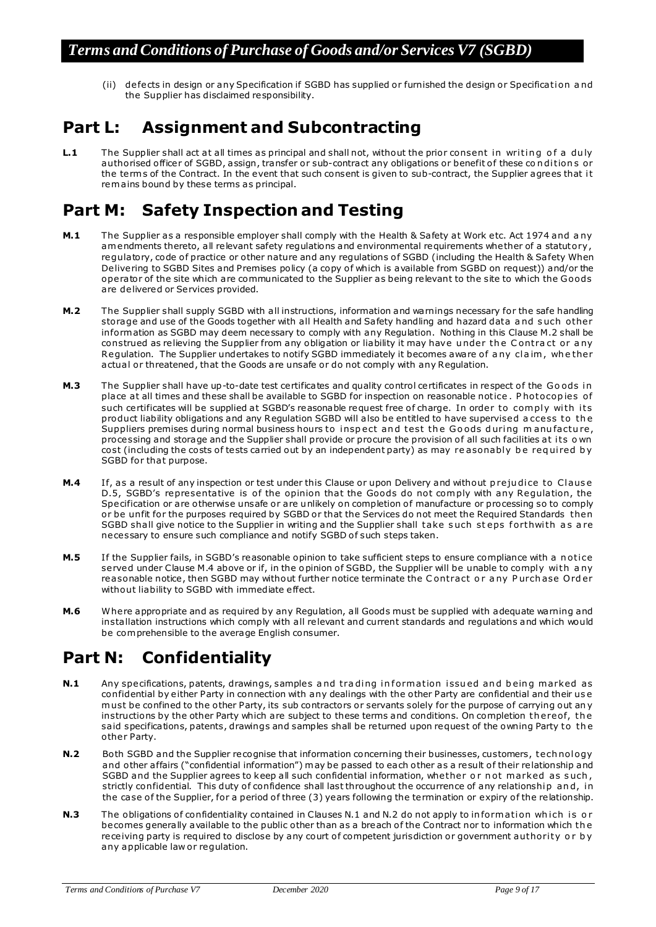(ii) defects in design or any Specification if SGBD has supplied or furnished the design or Specification and the Supplier has disclaimed responsibility.

# **Part L: Assignment and Subcontracting**

**L.1** The Supplier shall act at all times as principal and shall not, without the prior consent in writing of a duly authorised officer of SGBD, assign, transfer or sub-contract any obligations or benefit of these conditions or the terms of the Contract. In the event that such consent is given to sub-contract, the Supplier agrees that it rem ains bound by these terms as principal.

# **Part M: Safety Inspection and Testing**

- **M.1** The Supplier as a responsible employer shall comply with the Health & Safety at Work etc. Act 1974 and any am endments thereto, all relevant safety regulations and environmental requirements whe ther of a statutory , regulatory, code of practice or other nature and any regulations of SGBD (including the Health & Safety When Delivering to SGBD Sites and Premises policy (a copy of which is available from SGBD on request)) and/or the operator of the site which are communicated to the Supplier as being relevant to the site to which the G oods are delivered or Services provided.
- **M.2** The Supplier shall supply SGBD with all instructions, information and warnings necessary for the safe handling storage and use of the Goods together with all Health and Sa fety handling and hazard data a nd s uch other inform ation as SGBD may deem necessary to comply with any Regulation. Nothing in this Clause M.2 shall be construed as relieving the Supplier from any obligation or liability it may have under the Contract or any Regulation. The Supplier undertakes to notify SGBD immediately it becomes aware of a ny claim, whe ther actual or threatened, that the Goods are unsafe or do not comply with any Regulation.
- M.3 The Supplier shall have up-to-date test certificates and quality control certificates in respect of the Goods in place at all times and these shall be available to SGBD for inspection on reasonable notice. Photocopies of such certificates will be supplied at SGBD's reasonable request free of charge. In order to comply with its product liability obligations and any Regulation SGBD will also be entitled to have supervised a ccess to the Suppliers premises during normal business hours to inspect and test the Goods during manufacture, processing and storage and the Supplier shall provide or procure the provision of all such facilities at its own cost (including the costs of tests carried out by an independent party) as may reasonably be required by SGBD for that purpose.
- **M.4** If, as a result of any inspection or test under this Clause or upon Delivery and without p rejudice to Clause D.5, SGBD's representative is of the opinion that the Goods do not comply with any Regulation, the Specification or are otherwise unsafe or are unlikely on completion of manufacture or processing so to comply or be unfit for the purposes required by SGBD or that the Services do not meet the Required Standards then SGBD shall give notice to the Supplier in writing and the Supplier shall take such steps forthwith as are necessary to ensure such compliance and notify SGBD of such steps taken.
- M.5 If the Supplier fails, in SGBD's reasonable opinion to take sufficient steps to ensure compliance with a notice served under Clause M.4 above or if, in the opinion of SGBD, the Supplier will be unable to comply with a ny reasonable notice , then SGBD may without further notice terminate the C ontract o r a ny P urch ase O rd er without liability to SGBD with immediate e ffect.
- **M.6** Where appropriate and as required by any Regulation, all Goods must be supplied with adequate warning and installation instructions which comply with all relevant and current standards and regulations and which would be com prehensible to the average English consumer.

# **Part N: Confidentiality**

- **N.1** Any specifications, patents, drawings, samples and trading information issued and being marked as confidential by either Party in connection with any dealings with the other Party are confidential and their us e must be confined to the other Party, its sub contractors or servants solely for the purpose of carrying out any instructions by the other Party which are subject to these terms and conditions. On completion thereof, the said specifications, patents, drawings and samples shall be returned upon request of the owning Party to the other Party.
- **N.2** Both SGBD and the Supplier recognise that information concerning their businesses, customers, tech nology and other affairs ("confidential information") may be passed to each other as a result of their relationship and SGBD and the Supplier agrees to keep all such confidential information, whether or not marked as such, strictly confidential. This duty of confidence shall last throughout the occurrence of any relationship and, in the case of the Supplier, for a period of three (3) years following the termination or expiry of the relationship.
- **N.3** The obligations of confidentiality contained in Clauses N.1 and N.2 do not apply to information which is or becomes generally available to the public other than as a breach of the Contract nor to information which the receiving party is required to disclose by any court of competent jurisdiction or government authority or by any applicable law or regulation.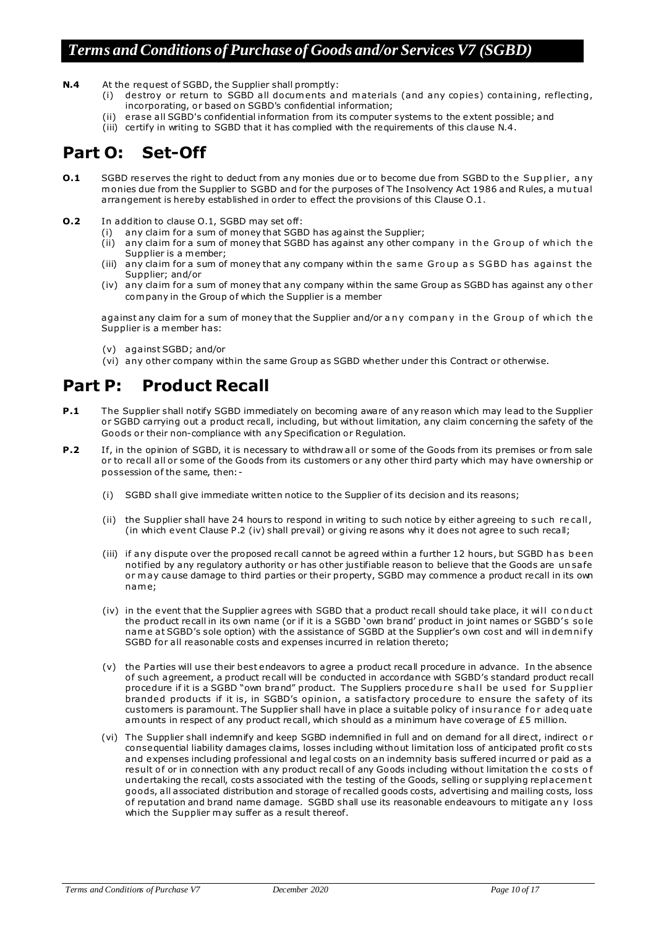- **N.4** At the request of SGBD, the Supplier shall promptly:
	- (i) destroy or return to SGBD all documents and materials (and any copies) containing, reflecting, incorporating, or based on SGBD's confidential information;
	- (ii) erase all SGBD's confidential information from its computer systems to the extent possible; and
	- (iii) certify in writing to SGBD that it has complied with the requirements of this clause N.4.

## **Part O: Set-Off**

- **O.1** SGBD reserves the right to deduct from any monies due or to become due from SGBD to the Supplier, any monies due from the Supplier to SGBD and for the purposes of The Insolvency Act 1986 and Rules, a mutual arrangement is hereby established in order to e ffect the provisions of this Clause O .1.
- **O.2** In addition to clause 0.1, SGBD may set off:
	- (i) any claim for a sum of money that SGBD has against the Supplier;
	- (ii) any claim for a sum of money that SGBD has against any other company in the Group of which the Supplier is a member;
	- (iii) any claim for a sum of money that any company within the same Group as SGBD has against the Supplier; and/or
	- (iv) any claim for a sum of money that any company within the same Group as SGBD has against any o ther company in the Group of which the Supplier is a member

against any claim for a sum of money that the Supplier and/or any company in the Group of which the Supplier is a member has:

- (v) against SGBD; and/or
- (vi) any other company within the same Group as SGBD whe ther under this Contract or otherwise.

# **Part P: Product Recall**

- **P.1** The Supplier shall notify SGBD immediately on becoming aware of any reason which may lead to the Supplier or SGBD carrying out a product recall, including, but without limitation, any claim concerning the safety of the Goods or their non-compliance with any Specification or Regulation.
- **P.2** If, in the opinion of SGBD, it is necessary to withdraw all or some of the Goods from its premises or from sale or to recall all or some of the Goods from its customers or any other third party which may have ownership or possession of the same, then: -
	- (i) SGBD shall give immediate written notice to the Supplier o f its decision and its reasons;
	- (ii) the Supplier shall have 24 hours to respond in writing to such notice by either agreeing to s uch re call , (in which event Clause P.2 (iv) shall prevail) or giving reasons why it does not agree to such recall;
	- (iii) if any dispute over the proposed recall cannot be agreed within a further 12 hours, but SGBD h as b een notified by any regulatory authority or has other justifiable reason to believe that the Goods are un sa fe or may cause damage to third parties or their property, SGBD may commence a product recall in its own nam e;
	- (iv) in the event that the Supplier agrees with SGBD that a product recall should take place, it will co n du ct the product recall in its own name (or if it is a SGBD 'own brand' product in joint names or SGBD' s so le name at SGBD's sole option) with the assistance of SGBD at the Supplier's own cost and will indemnify SGBD for all reasonable costs and expenses incurred in relation thereto;
	- (v) the Parties will use their best endeavors to agree a product recall procedure in advance. In the absence of such agreement, a product recall will be conducted in accordance with SGBD's standard product recall procedure if it is a SGBD "own brand" product. The Suppliers procedu re s hall be u sed f or Su pplier branded products if it is, in SGBD's opinion, a satisfactory procedure to ensure the safety of its customers is paramount. The Supplier shall have in place a suitable policy of insurance for adequate am ounts in respect of any product recall, which should as a minimum have coverage of £5 million.
	- (vi) The Supplier shall indemnify and keep SGBD indemnified in full and on demand for all direct, indirect o r consequential liability damages claims, losses including without limitation loss of anticipated profit costs and expenses including professional and legal costs on an indemnity basis suffered incurred or paid as a result of or in connection with any product recall of any Goods including without limitation the costs of undertaking the recall, costs associated with the testing of the Goods, selling or supplying replacement goods, all associated distribution and storage of recalled goods costs, advertising and mailing costs, loss of reputation and brand name damage. SGBD shall use its reasonable endeavours to mitigate any loss which the Supplier may suffer as a result thereof.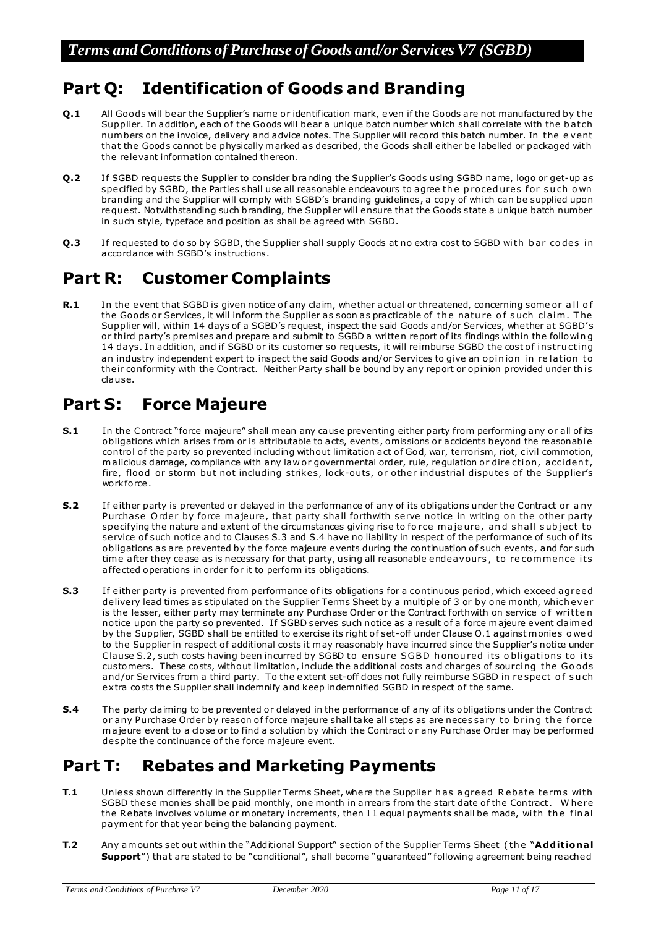# **Part Q: Identification of Goods and Branding**

- **Q.1** All Goods will bear the Supplier's name or identification mark, even if the Goods are not manufactured by the Supplier. In addition, each of the Goods will bear a unique batch number which shall correlate with the batch num bers on the invoice, delivery and advice notes. The Supplier will record this batch number. In the e vent that the Goods cannot be physically m arked as described, the Goods shall either be labelled or packaged with the relevant information contained thereon.
- **Q.2** If SGBD requests the Supplier to consider branding the Supplier's Goods using SGBD name, logo or get-up as specified by SGBD, the Parties shall use all reasonable endeavours to agree the procedures for such own branding and the Supplier will comply with SGBD's branding guidelines, a copy of which can be supplied upon request. Notwithstanding such branding, the Supplier will ensure that the Goods state a unique batch number in such style, typeface and position as shall be agreed with SGBD.
- **Q.3** If requested to do so by SGBD, the Supplier shall supply Goods at no extra cost to SGBD with b ar codes in accordance with SGBD's instructions.

## **Part R: Customer Complaints**

**R.1** In the event that SGBD is given notice of any claim, whe ther actual or threatened, concerning some or all of the Goods or Services, it will inform the Supplier as soon as practicable of the nature of such claim. The Supplier will, within 14 days of a SGBD's request, inspect the said Goods and/or Services, whe ther at SGBD's or third party's premises and prepare and submit to SGBD a written report of its findings within the following 14 days. In addition, and if SGBD or its customer so requests, it will reimburse SGBD the cost of instructing an industry independent expert to inspect the said Goods and/or Services to give an opinion in relation to their conformity with the Contract. Neither Party shall be bound by any report or opinion provided under this clause.

# **Part S: Force Majeure**

- **S.1** In the Contract "force majeure" shall mean any cause preventing either party from performing any or all of its obligations which arises from or is attributable to acts, events, omissions or accidents beyond the reasonable control of the party so prevented including without limitation act of God, war, terrorism, riot, civil commotion, malicious damage, compliance with any law or governmental order, rule, regulation or direction, accident, fire, flood or storm but not including strikes, lock-outs, or other industrial disputes of the Supplier's work force.
- **S.2** If either party is prevented or delayed in the performance of any of its obligations under the Contract or a ny Purchase Order by force majeure, that party shall forthwith serve notice in writing on the other party specifying the nature and extent of the circumstances giving rise to fo rce m a je ure , an d s hall s ub ject to service of such notice and to Clauses S.3 and S.4 have no liability in respect of the performance of such of its obligations as are prevented by the force majeure events during the continuation of such events, and for such time after they cease as is necessary for that party, using all reasonable endeavours, to recommence its a ffected operations in order for it to perform its obligations.
- **S.3** If either party is prevented from performance of its obligations for a continuous period, which exceed agreed delivery lead times as stipulated on the Supplier Terms Sheet by a multiple of 3 or by one month, which ever is the lesser, either party may terminate any Purchase Order or the Contract forthwith on service of written notice upon the party so prevented. If SGBD serves such notice as a result of a force majeure event claimed by the Supplier, SGBD shall be entitled to exercise its right o f set-off under Clause O.1 against m onies o we d to the Supplier in respect of additional costs it may reasonably have incurred since the Supplier's notice under Clause S.2, such costs having been incurred by SGBD to ensure SGBD honoured its obligations to its customers. These costs, without limitation, include the additional costs and charges of sourcing the Goods and/or Services from a third party. To the extent set-off does not fully reimburse SGBD in re spect of such extra costs the Supplier shall indemnify and keep indemnified SGBD in respect of the same.
- **S.4** The party claiming to be prevented or delayed in the performance of any of its obligations under the Contract or any Purchase Order by reason of force majeure shall take all steps as are necessary to bring the force m a jeure event to a close or to find a solution by which the Contract o r any Purchase Order may be performed despite the continuance of the force majeure event.

## **Part T: Rebates and Marketing Payments**

- **T.1** Unless shown differently in the Supplier Terms Sheet, where the Supplier has a greed Rebate terms with SGBD these monies shall be paid monthly, one month in arrears from the start date of the Contract. Where the Rebate involves volume or monetary increments, then 11 equal payments shall be made, with the final paym ent for that year being the balancing payment.
- **T.2** Any amounts set out within the "Additional Support" section of the Supplier Terms Sheet (the "Additional **Support**") that are stated to be "conditional", shall become "guaranteed" following agreement being reached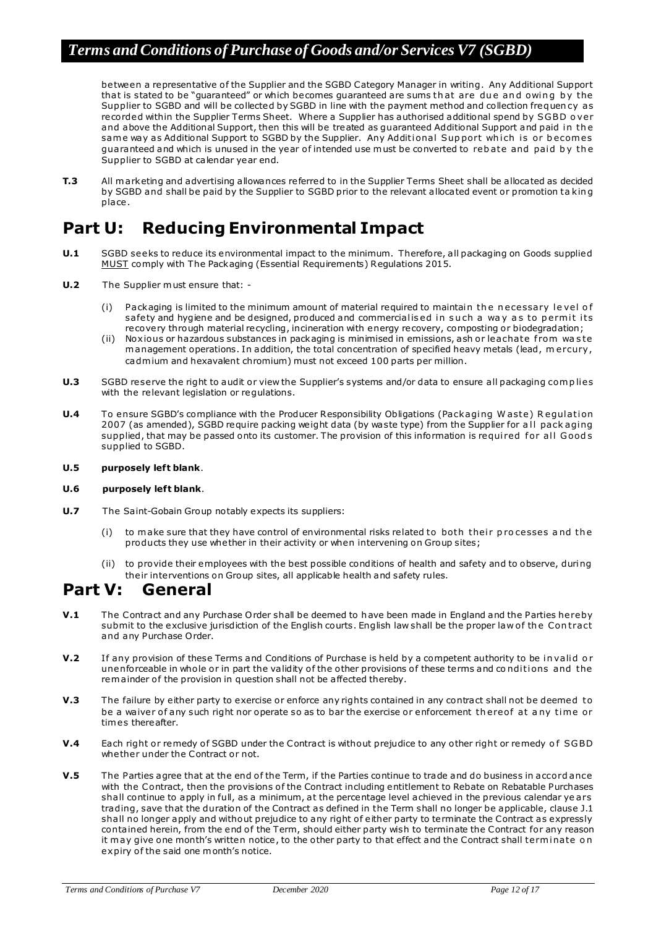between a representative of the Supplier and the SGBD Category Manager in writing. Any Additional Support that is stated to be "guaranteed" or which becomes guaranteed are sums that are due and owing by the Supplier to SGBD and will be collected by SGBD in line with the payment method and collection frequen cy as recorded within the Supplier Terms Sheet. Where a Supplier has authorised additional spend by SGBD o ver and above the Additional Support, then this will be treated as guaranteed Additional Support and paid in the same way as Additional Support to SGBD by the Supplier. Any Additional Support which is or becomes guaranteed and which is unused in the year of intended use must be converted to rebate and paid by the Supplier to SGBD at calendar year end.

**T.3** All m arketing and advertising allowances referred to in the Supplier Terms Sheet shall be allocated as decided by SGBD and shall be paid by the Supplier to SGBD prior to the relevant allocated event or promotion ta kin g place.

# **Part U: Reducing Environmental Impact**

- **U.1** SGBD seeks to reduce its environmental impact to the minimum. Therefore, all packaging on Goods supplied MUST comply with The Packaging (Essential Requirements) Regulations 2015.
- **U.2** The Supplier must ensure that:
	- (i) Packaging is limited to the minimum amount of material required to maintain the necessary level of safety and hygiene and be designed, produced and commercialised in such a way as to permit its recovery through material recycling, incineration with energy recovery, composting or biodegradation;
	- (ii) Noxious or hazardous substances in packaging is minimised in emissions, ash or leachate f rom wa s te m anagement operations. In addition, the total concentration of specified heavy metals (lead, m ercury , cadmium and hexavalent chromium) must not exceed 100 parts per million.
- **U.3** SGBD reserve the right to audit or view the Supplier's systems and/or data to ensure all packaging complies with the relevant legislation or regulations.
- **U.4** To ensure SGBD's compliance with the Producer Responsibility Obligations (Packaging Waste) Regulation 2007 (as amended), SGBD require packing weight data (by waste type) from the Supplier for all pack aging supplied, that may be passed onto its customer. The provision of this information is required for all Goods supplied to SGBD.
- **U.5 purposely left blank**.

#### **U.6 purposely left blank**.

- **U.7** The Saint-Gobain Group notably expects its suppliers:
	- (i) to make sure that they have control of environmental risks related to both their processes and the products they use whe ther in their activity or when intervening on Group sites;
	- (ii) to provide their employees with the best possible conditions of health and safety and to observe, duri ng their interventions on Group sites, all applicable health and safety rules.

#### **Part V: General**

- **V.1** The Contract and any Purchase Order shall be deemed to have been made in England and the Parties hereby submit to the exclusive jurisdiction of the English courts. English law shall be the proper law of the Contract and any Purchase Order.
- **V.2** If any provision of these Terms and Conditions of Purchase is held by a competent authority to be invalid or unenforceable in whole or in part the validity of the other provisions of these terms and conditions and the rem ainder of the provision in question shall not be affected thereby.
- **V.3** The failure by either party to exercise or enforce any rights contained in any contract shall not be deemed to be a waiver of any such right nor operate so as to bar the exercise or enforcement thereof at any time or tim es thereafter.
- **V.4** Each right or remedy of SGBD under the Contract is without prejudice to any other right or remedy of SGBD whe ther under the Contract or not.
- **V.5** The Parties agree that at the end of the Term, if the Parties continue to trade and do business in accord ance with the Contract, then the provisions of the Contract including entitlement to Rebate on Rebatable Purchases shall continue to apply in full, as a minimum, at the percentage level achieved in the previous calendar ye ars trading, save that the duration of the Contract as defined in the Term shall no longer be applicable, clause J.1 shall no longer apply and without prejudice to any right of either party to terminate the Contract as expressly contained herein, from the end of the Term, should either party wish to terminate the Contract for any reason it may give one month's written notice, to the other party to that effect and the Contract shall terminate on expiry of the said one month's notice.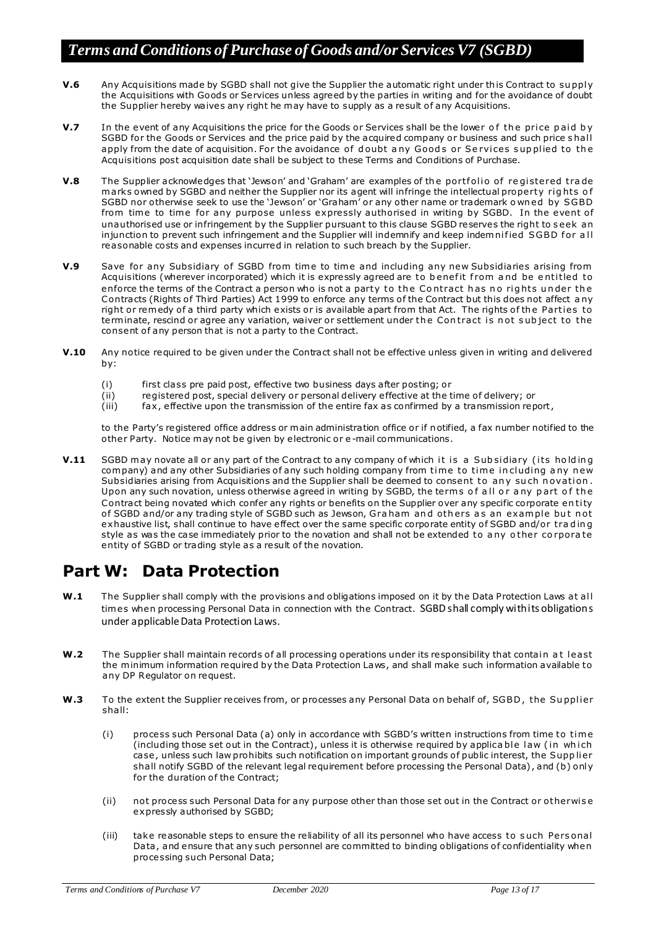- **V.6** Any Acquisitions made by SGBD shall not give the Supplier the automatic right under this Contract to supply the Acquisitions with Goods or Services unless agreed by the parties in writing and for the avoidance of doubt the Supplier hereby waives any right he may have to supply as a result of any Acquisitions.
- **V.7** In the event of any Acquisitions the price for the Goods or Services shall be the lower of the price paid by SGBD for the Goods or Services and the price paid by the acquired company or business and such price s hall apply from the date of acquisition. For the avoidance of doubt any Goods or Services supplied to the Acquisitions post acquisition date shall be subject to these Terms and Conditions of Purchase.
- **V.8** The Supplier acknowledges that 'Jewson' and 'Graham' are examples of the portfolio of registered trade marks owned by SGBD and neither the Supplier nor its agent will infringe the intellectual property rights of SGBD nor otherwise seek to use the 'Jewson' or 'Graham' or any other name or trademark o wn ed by SGBD from time to time for any purpose unless expressly authorised in writing by SGBD. In the event of unauthorised use or infringement by the Supplier pursuant to this clause SGBD reserves the right to s eek an injunction to prevent such infringement and the Supplier will indemnify and keep indemnified SGBD for all reasonable costs and expenses incurred in relation to such breach by the Supplier.
- **V.9** Save for any Subsidiary of SGBD from time to time and including any new Subsidiaries arising from Acquisitions (wherever incorporated) which it is expressly agreed are to benefit from and be entitled to enforce the terms of the Contract a person who is not a party to the Contract has no rights under the Contracts (Rights of Third Parties) Act 1999 to enforce any terms of the Contract but this does not affect any right or remedy of a third party which exists or is available apart from that Act. The rights of the Parties to terminate, rescind or agree any variation, waiver or settlement under the Contract is not subject to the consent of any person that is not a party to the Contract.
- **V.10** Any notice required to be given under the Contract shall not be effective unless given in writing and delivered by:
	- (i) first class pre paid post, effective two business days a fter posting; or
	- (ii) registered post, special delivery or personal delivery e ffective at the time o f delivery; or
	- (iii) fax , e ffective upon the transmission of the entire fax as confirmed by a transmission report,

to the Party's registered office address or m ain administration office or if notified, a fax number notified to the other Party. Notice m ay not be given by electronic or e -mail communications.

**V.11** SGBD may novate all or any part of the Contract to any company of which it is a Subsidiary (its holding company) and any other Subsidiaries of any such holding company from time to time in cluding any new Subsidiaries arising from Acquisitions and the Supplier shall be deemed to consent to any such novation. Upon any such novation, unless otherwise agreed in writing by SGBD, the terms of all or any part of the Contract being novated which confer any rights or benefits on the Supplier over any specific corporate entity of SGBD and/or any trading style of SGBD such as Jewson, Graham and others as an example but not exhaustive list, shall continue to have effect over the same specific corporate entity of SGBD and/or trading style as was the case immediately prior to the novation and shall not be extended to any other corporate entity of SGBD or trading style as a result of the novation.

## **Part W: Data Protection**

- **W.1** The Supplier shall comply with the provisions and obligations imposed on it by the Data Protection Laws at all tim es when processing Personal Data in connection with the Contract. SGBD shall comply with its obligations under applicable Data Protection Laws.
- W.2 The Supplier shall maintain records of all processing operations under its responsibility that contain at least the minimum information required by the Data Protection Laws, and shall make such information available to any DP Regulator on request.
- W.3 To the extent the Supplier receives from, or processes any Personal Data on behalf of, SGBD, the Supplier shall:
	- (i) process such Personal Data (a) only in accordance with SGBD's written instructions from time to tim e (including those set out in the Contract), unless it is otherwise required by applica ble law (in which case, unless such law prohibits such notification on important grounds of public interest, the Supp lier shall notify SGBD of the relevant legal requirement before processing the Personal Data), and (b) only for the duration of the Contract;
	- (ii) not process such Personal Data for any purpose other than those set out in the Contract or otherwise expressly authorised by SGBD;
	- (iii) take reasonable steps to ensure the reliability of all its personnel who have access to s uch Pers onal Data, and ensure that any such personnel are committed to binding obligations of confidentiality when processing such Personal Data;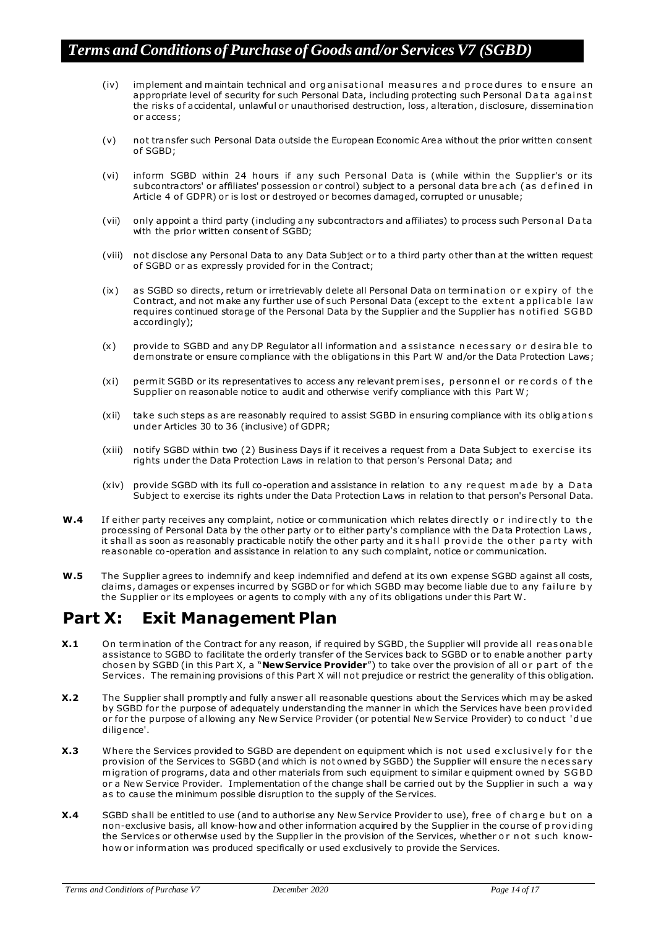- (iv) implement and maintain technical and organisational measures and procedures to ensure an appropriate level of security for such Personal Data, including protecting such Personal Data against the risks of accidental, unlawful or unauthorised destruction, loss, alteration, disclosure, dissemination or access;
- (v) not transfer such Personal Data outside the European Economic Area without the prior written consent of SGBD;
- (vi) inform SGBD within 24 hours if any such Personal Data is (while within the Supplier's or its subcontractors' or affiliates' possession or control) subject to a personal data bre ach (as defined in Article 4 of GDPR) or is lost or destroyed or becomes damaged, corrupted or unusable;
- (vii) only appoint a third party (including any subcontractors and a ffiliates) to process such Person al D a ta with the prior written consent of SGBD;
- (viii) not disclose any Personal Data to any Data Subject or to a third party other than at the written request of SGBD or as expressly provided for in the Contract;
- (ix) as SGBD so directs, return or irretrievably delete all Personal Data on termination or expiry of the Contract, and not make any further use of such Personal Data (except to the extent applicable law requires continued storage of the Personal Data by the Supplier and the Supplier has notified SGBD accordingly);
- (x) provide to SGBD and any DP Requlator all information and assistance necessary or desirable to dem onstrate or ensure compliance with the obligations in this Part W and/or the Data Protection Laws;
- (xi) permit SGBD or its representatives to access any relevant premises, personnel or records of the Supplier on reasonable notice to audit and otherwise verify compliance with this Part W;
- (xii) take such steps as are reasonably required to assist SGBD in ensuring compliance with its oblig ation s under Articles 30 to 36 (inclusive) of GDPR;
- (xiii) notify SGBD within two (2) Business Days if it receives a request from a Data Subject to exercise its rights under the Data Protection Laws in relation to that person's Personal Data; and
- (xiv) provide SGBD with its full co-operation and assistance in relation to any request made by a Data Subject to exercise its rights under the Data Protection Laws in relation to that person's Personal Data.
- **W.4** If either party receives any complaint, notice or communication which relates directly or indirectly to the processing of Personal Data by the other party or to either party's compliance with the Data Protection Laws, it shall as soon as reasonably practicable notify the other party and it s hall p rovi de the o ther p a rty wi th reasonable co-operation and assistance in relation to any such complaint, notice or communication.
- W.5 The Supplier agrees to indemnify and keep indemnified and defend at its own expense SGBD against all costs, claims, damages or expenses incurred by SGBD or for which SGBD may become liable due to any failu re by the Supplier or its employees or agents to comply with any of its obligations under this Part W.

### **Part X: Exit Management Plan**

- **X.1** On termination of the Contract for any reason, if required by SGBD, the Supplier will provide all reas onable assistance to SGBD to facilitate the orderly transfer of the Services back to SGBD or to enable another party chosen by SGBD (in this Part X, a "**New Service Provider**") to take over the provision of all or part of the Services. The remaining provisions of this Part X will not prejudice or restrict the generality of this obligation.
- **X.2** The Supplier shall promptly and fully answer all reasonable questions about the Services which may be asked by SGBD for the purpose of adequately understanding the manner in which the Services have been provi ded or for the purpose of allowing any New Service Provider (or potential New Service Provider) to conduct 'due diligence'.
- **X.3** Where the Services provided to SGBD are dependent on equipment which is not used exclusively for the provision of the Services to SGBD (and which is not owned by SGBD) the Supplier will ensure the n eces sary migration of programs, data and other materials from such equipment to similar e quipment owned by SGBD or a New Service Provider. Implementation of the change shall be carried out by the Supplier in such a way as to cause the minimum possible disruption to the supply of the Services.
- **X.4** SGBD shall be entitled to use (and to authorise any New Service Provider to use), free of charge but on a non-exclusive basis, all know-how and other information acquired by the Supplier in the course of providing the Services or otherwise used by the Supplier in the provision of the Services, whether or not such knowhow or inform ation was produced specifically or used exclusively to provide the Services.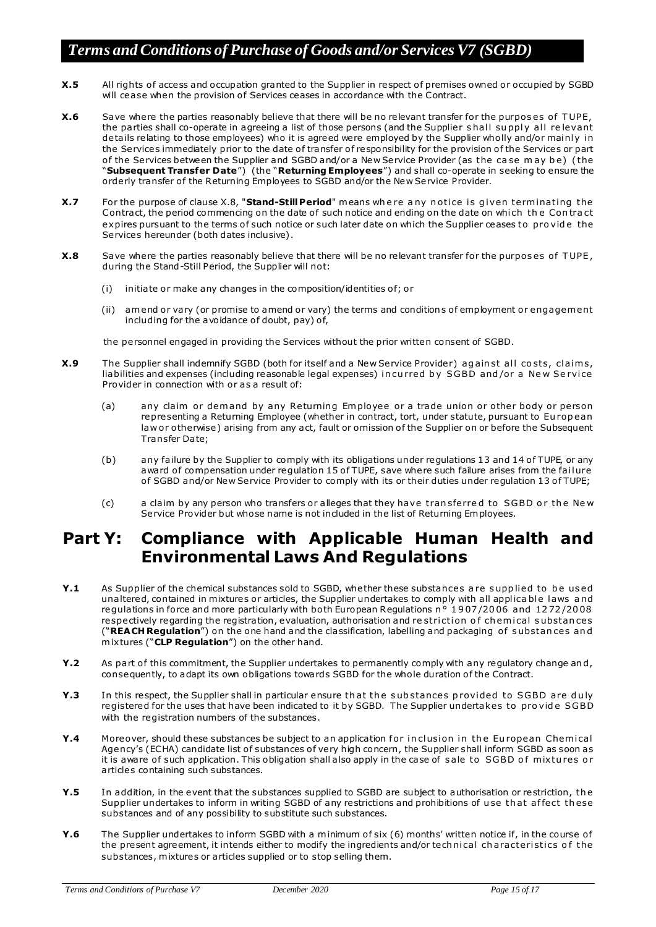- **X.5** All rights of access and occupation granted to the Supplier in respect of premises owned or occupied by SGBD will cease when the provision of Services ceases in accordance with the Contract.
- **X.6** Save where the parties reasonably believe that there will be no relevant transfer for the purpos es of TUPE, the parties shall co-operate in agreeing a list of those persons (and the Supplier shall supply all relevant details relating to those employees) who it is agreed were employed by the Supplier wholly and/or mainly in the Services immediately prior to the date of transfer of responsibility for the provision of the Services or part of the Services between the Supplier and SGBD and/or a New Service Provider (as the case may be) (the "**Subsequent Transfer Date**") (the "**Returning Employees**") and shall co-operate in seeking to ensure the orderly transfer of the Returning Employees to SGBD and/or the New Service Provider.
- **X.7** For the purpose of clause X.8, "**Stand-Still Period**" means where any notice is given terminating the Contract, the period commencing on the date of such notice and ending on the date on which the Contract expires pursuant to the terms of such notice or such later date on which the Supplier ceases to pro vide the Services hereunder (both dates inclusive).
- **X.8** Save where the parties reasonably believe that there will be no relevant transfer for the purposes of TUPE, during the Stand-Still Period, the Supplier will not:
	- (i) initiate or make any changes in the composition/identities of; or
	- (ii) amend or vary (or promise to amend or vary) the terms and conditions of employment or engagement including for the avoidance of doubt, pay) of,

the personnel engaged in providing the Services without the prior written consent of SGBD.

- **X.9** The Supplier shall indemnify SGBD (both for itself and a New Service Provider) against all costs, claims, liabilities and expenses (including reasonable legal expenses) in curred by SGBD and/or a New Service Provider in connection with or as a result of:
	- (a) any claim or dem and by any Returning Employee or a trade union or other body or person representing a Returning Employee (whether in contract, tort, under statute, pursuant to Eu rop ean law or otherwise) arising from any act, fault or omission of the Supplier on or before the Subsequent Transfer Date;
	- (b) any failure by the Supplier to comply with its obligations under regulations 13 and 14 o f TUPE, or any award of compensation under regulation 15 of TUPE, save where such failure arises from the failure of SGBD and/or New Service Provider to comply with its or their duties under regulation 13 of TUPE;
	- (c) a claim by any person who transfers or alleges that they have tran sferred to SGBD or the New Service Provider but whose name is not included in the list of Returning Em ployees.

### **Part Y: Compliance with Applicable Human Health and Environmental Laws And Regulations**

- **Y.1** As Supplier of the chemical substances sold to SGBD, whe ther these substances are supplied to be used unaltered, contained in mixtures or articles, the Supplier undertakes to comply with all applica ble laws and regulations in force and more particularly with both European Regulations n ° 1 9 07 /20 06 and 12 72 /20 08 respectively regarding the registration, evaluation, authorisation and restriction of chemical substances ("**REA CH Regulation**") on the one hand and the classification, labelling and packaging o f s ubstan ces an d mix tures ("**CLP Regulation**") on the other hand.
- **Y.2** As part of this commitment, the Supplier undertakes to permanently comply with any regulatory change and, consequently, to adapt its own obligations towards SGBD for the whole duration of the Contract.
- **Y.3** In this respect, the Supplier shall in particular ensure that the substances provided to SGBD are duly registered for the uses that have been indicated to it by SGBD. The Supplier undertakes to pro vide SGBD with the registration numbers of the substances.
- **Y.4** Moreover, should these substances be subject to an application for inclusion in the European Chemical Agency's (ECHA) candidate list of substances of very high concern, the Supplier shall inform SGBD as soon as it is aware of such application. This obligation shall also apply in the case of sale to SGBD of mixtures or articles containing such substances.
- **Y.5** In addition, in the event that the substances supplied to SGBD are subject to authorisation or restriction, the Supplier undertakes to inform in writing SGBD of any restrictions and prohibitions of use that affect these substances and of any possibility to substitute such substances.
- **Y.6** The Supplier undertakes to inform SGBD with a minimum of six (6) months' written notice if, in the course of the present agreement, it intends either to modify the ingredients and/or tech nical characteristics of the substances, mixtures or articles supplied or to stop selling them.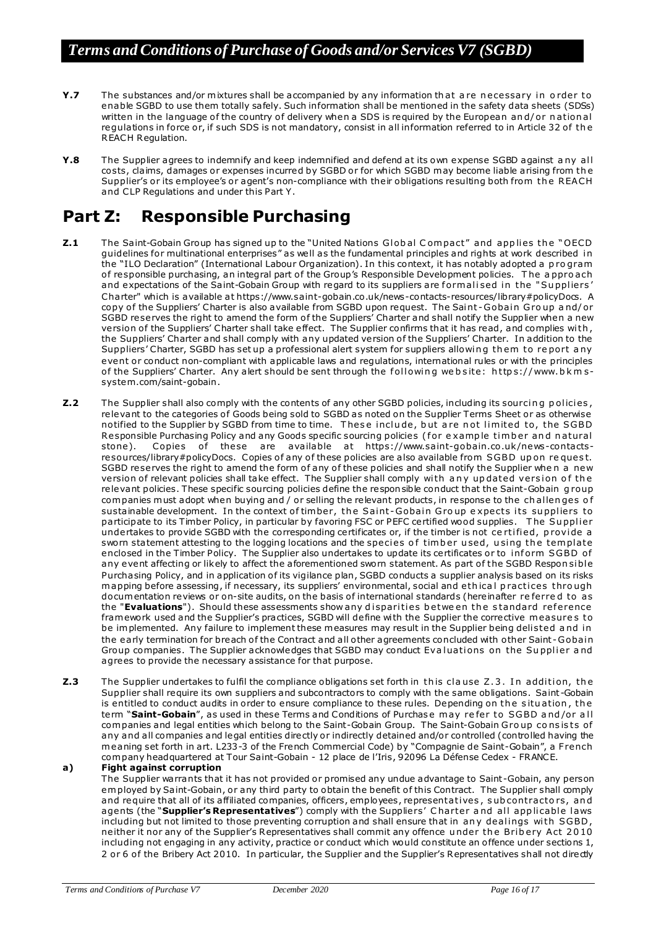- **Y.7** The substances and/or mixtures shall be accompanied by any information that are necessary in order to enable SGBD to use them totally sa fely. Such information shall be mentioned in the safety data sheets (SDSs) written in the language of the country of delivery when a SDS is required by the European and/or national regulations in force or, if such SDS is not mandatory, consist in all information referred to in Article 32 of the REACH Regulation.
- **Y.8** The Supplier agrees to indemnify and keep indemnified and defend at its own expense SGBD against a ny all costs, claims, damages or expenses incurred by SGBD or for which SGBD m ay become liable arising from th e Supplier's or its employee's or agent's non-compliance with their obligations resulting both from the REACH and CLP Regulations and under this Part Y.

# **Part Z: Responsible Purchasing**

- **Z.1** The Saint-Gobain Group has signed up to the "United Nations Global Compact" and applies the "OECD guidelines for multinational enterprises" as well as the fundamental principles and rights at work described i n the "ILO Declaration" (International Labour Organization). In this context, it has notably adopted a p ro gram of responsible purchasing, an integral part of the Group's Responsible Development policies. The appro ach and expectations of the Saint-Gobain Group with regard to its suppliers are formalised in the "Suppliers' Charter" which is available a[t https://www.saint-gobain.co .uk/news-contacts-resources/library#policyDocs.](https://www.saint-gobain.co.uk/news-contacts-resources/library#policyDocs) A copy of the Suppliers' Charter is also available from SGBD upon request. The Saint-Gobain Group and/or SGBD reserves the right to amend the form of the Suppliers' Charter and shall notify the Supplier when a new version of the Suppliers' Charter shall take effect. The Supplier confirms that it has read, and complies with, the Suppliers' Charter and shall comply with any updated version of the Suppliers' Charter. In addition to the Suppliers' Charter, SGBD has set up a professional alert system for suppliers allowing them to report any event or conduct non-compliant with applicable laws and regulations, international rules or with the principles of the Suppliers' Charter. Any alert should be sent through the following we b site: https://www.bkms[system.com/saint-gobain](https://www.bkms-system.com/saint-gobain).
- **Z.2** The Supplier shall also comply with the contents of any other SGBD policies, including its sourcing policies, relevant to the categories of Goods being sold to SGBD as noted on the Supplier Terms Sheet or as otherwise notified to the Supplier by SGBD from time to time. These include, but are not limited to, the SGBD Responsible Purchasing Policy and any Goods specific sourcing policies (for example timber and natural stone).<br>
Stone). Copies of these are available at https://www.saint-gobain.co.uk/news-contacts-Copies of these are available at https://www.saint-gobain.co.uk/news-contacts[resources/library#policyDocs.](https://www.saint-gobain.co.uk/news-contacts-resources/library#policyDocs) Copies of any of these policies are also available from SGBD upon request. SGBD reserves the right to amend the form of any of these policies and shall notify the Supplier when a new version of relevant policies shall take effect. The Supplier shall comply with any updated version of the relevant policies. These specific sourcing policies define the responsible conduct that the Saint-Gobain g roup com panies must adopt when buying and / or selling the relevant products, in response to the ch allen ges o f sustainable development. In the context of timber, the Saint-Gobain Group expects its suppliers to participate to its Timber Policy, in particular by favoring FSC or PEFC certified wood supplies. The Supplier undertakes to provide SGBD with the corresponding certificates or, if the timber is not certified, provide a sworn statement attesting to the logging locations and the species of timber used, using the template enclosed in the Timber Policy. The Supplier also undertakes to update its certificates or to inform SGBD of any event affecting or likely to affect the aforementioned sworn statement. As part of the SGBD Respon sible Purchasing Policy, and in application of its vigilance plan, SGBD conducts a supplier analysis based on its risks mapping before assessing, if necessary, its suppliers' environmental, social and ethical practices through docum entation reviews or on-site audits, on the basis o f international standards (hereinafter re ferre d to as the "Evaluations"). Should these assessments show any disparities betwe en the standard reference fram ework used and the Supplier's practices, SGBD will define with the Supplier the corrective measures to be im plemented. Any failure to implement these measures may result in the Supplier being delisted and in the early termination for breach of the Contract and all other agreements concluded with other Saint-Gobain Group companies. The Supplier acknowledges that SGBD may conduct Evaluations on the Supplier and agrees to provide the necessary assistance for that purpose.
- **Z.3** The Supplier undertakes to fulfil the compliance obligations set forth in this clause Z.3. In addition, the Supplier shall require its own suppliers and subcontractors to comply with the same obligations. Saint -Gobain is entitled to conduct audits in order to ensure compliance to these rules. Depending on the situation, the term "Saint-Gobain", as used in these Terms and Conditions of Purchase may refer to SGBD and/or all com panies and legal entities which belong to the Saint-Gobain Group. The Saint-Gobain Group consists of any and all companies and legal entities directly or indirectly detained and/or controlled (controlled having the m eaning set forth in art. L233-3 of the French Commercial Code) by "Compagnie de Saint-Gobain", a F rench com pany headquartered at Tour Saint-Gobain - 12 place de l'Iris, 92096 La Défense Cedex - FRANCE.

#### **a) Fight against corruption**

The Supplier warrants that it has not provided or promised any undue advantage to Saint-Gobain, any person em ployed by Saint-Gobain, or any third party to obtain the benefit of this Contract. The Supplier shall comply and require that all of its a ffiliated companies, officers, employees, representati ves , s ub contracto rs, an d agents (the "Supplier's Representatives") comply with the Suppliers' Charter and all applicable laws including but not limited to those preventing corruption and shall ensure that in any dealings with SGBD, neither it nor any of the Supplier's Representatives shall commit any offence under the Bribery Act 2010 including not engaging in any activity, practice or conduct which would constitute an o ffence under sections 1, 2 or 6 of the Bribery Act 2010. In particular, the Supplier and the Supplier's Representatives shall not directly